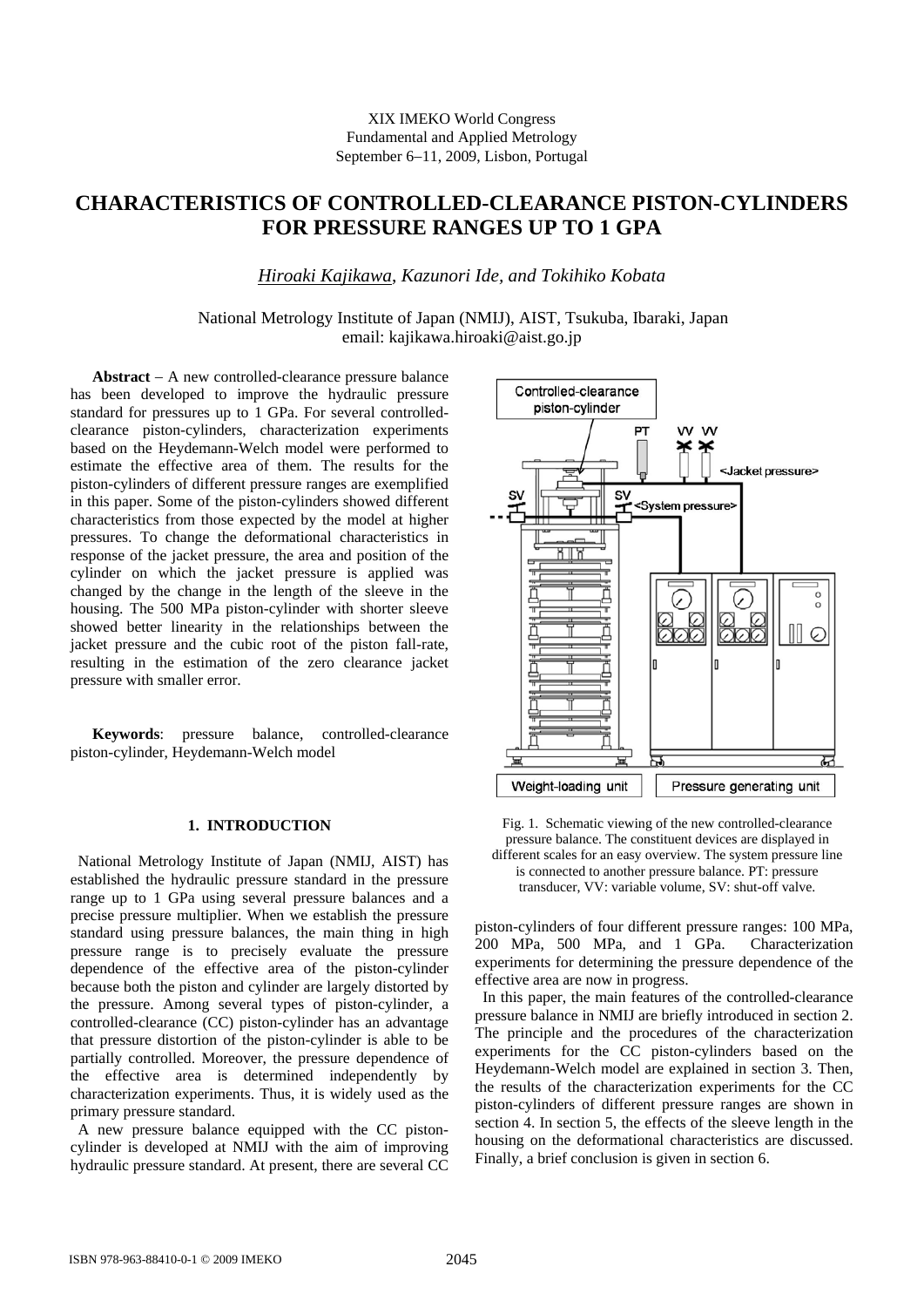### XIX IMEKO World Congress Fundamental and Applied Metrology September 6−11, 2009, Lisbon, Portugal

# **CHARACTERISTICS OF CONTROLLED-CLEARANCE PISTON-CYLINDERS FOR PRESSURE RANGES UP TO 1 GPA**

# *Hiroaki Kajikawa*, *Kazunori Ide, and Tokihiko Kobata*

# National Metrology Institute of Japan (NMIJ), AIST, Tsukuba, Ibaraki, Japan email: kajikawa.hiroaki@aist.go.jp

**Abstract** − A new controlled-clearance pressure balance has been developed to improve the hydraulic pressure standard for pressures up to 1 GPa. For several controlledclearance piston-cylinders, characterization experiments based on the Heydemann-Welch model were performed to estimate the effective area of them. The results for the piston-cylinders of different pressure ranges are exemplified in this paper. Some of the piston-cylinders showed different characteristics from those expected by the model at higher pressures. To change the deformational characteristics in response of the jacket pressure, the area and position of the cylinder on which the jacket pressure is applied was changed by the change in the length of the sleeve in the housing. The 500 MPa piston-cylinder with shorter sleeve showed better linearity in the relationships between the jacket pressure and the cubic root of the piston fall-rate, resulting in the estimation of the zero clearance jacket pressure with smaller error.

**Keywords**: pressure balance, controlled-clearance piston-cylinder, Heydemann-Welch model

# **1. INTRODUCTION**

National Metrology Institute of Japan (NMIJ, AIST) has established the hydraulic pressure standard in the pressure range up to 1 GPa using several pressure balances and a precise pressure multiplier. When we establish the pressure standard using pressure balances, the main thing in high pressure range is to precisely evaluate the pressure dependence of the effective area of the piston-cylinder because both the piston and cylinder are largely distorted by the pressure. Among several types of piston-cylinder, a controlled-clearance (CC) piston-cylinder has an advantage that pressure distortion of the piston-cylinder is able to be partially controlled. Moreover, the pressure dependence of the effective area is determined independently by characterization experiments. Thus, it is widely used as the primary pressure standard.

A new pressure balance equipped with the CC pistoncylinder is developed at NMIJ with the aim of improving hydraulic pressure standard. At present, there are several CC



Fig. 1. Schematic viewing of the new controlled-clearance pressure balance. The constituent devices are displayed in different scales for an easy overview. The system pressure line is connected to another pressure balance. PT: pressure transducer, VV: variable volume, SV: shut-off valve.

piston-cylinders of four different pressure ranges: 100 MPa, 200 MPa, 500 MPa, and 1 GPa. Characterization experiments for determining the pressure dependence of the effective area are now in progress.

 In this paper, the main features of the controlled-clearance pressure balance in NMIJ are briefly introduced in section 2. The principle and the procedures of the characterization experiments for the CC piston-cylinders based on the Heydemann-Welch model are explained in section 3. Then, the results of the characterization experiments for the CC piston-cylinders of different pressure ranges are shown in section 4. In section 5, the effects of the sleeve length in the housing on the deformational characteristics are discussed. Finally, a brief conclusion is given in section 6.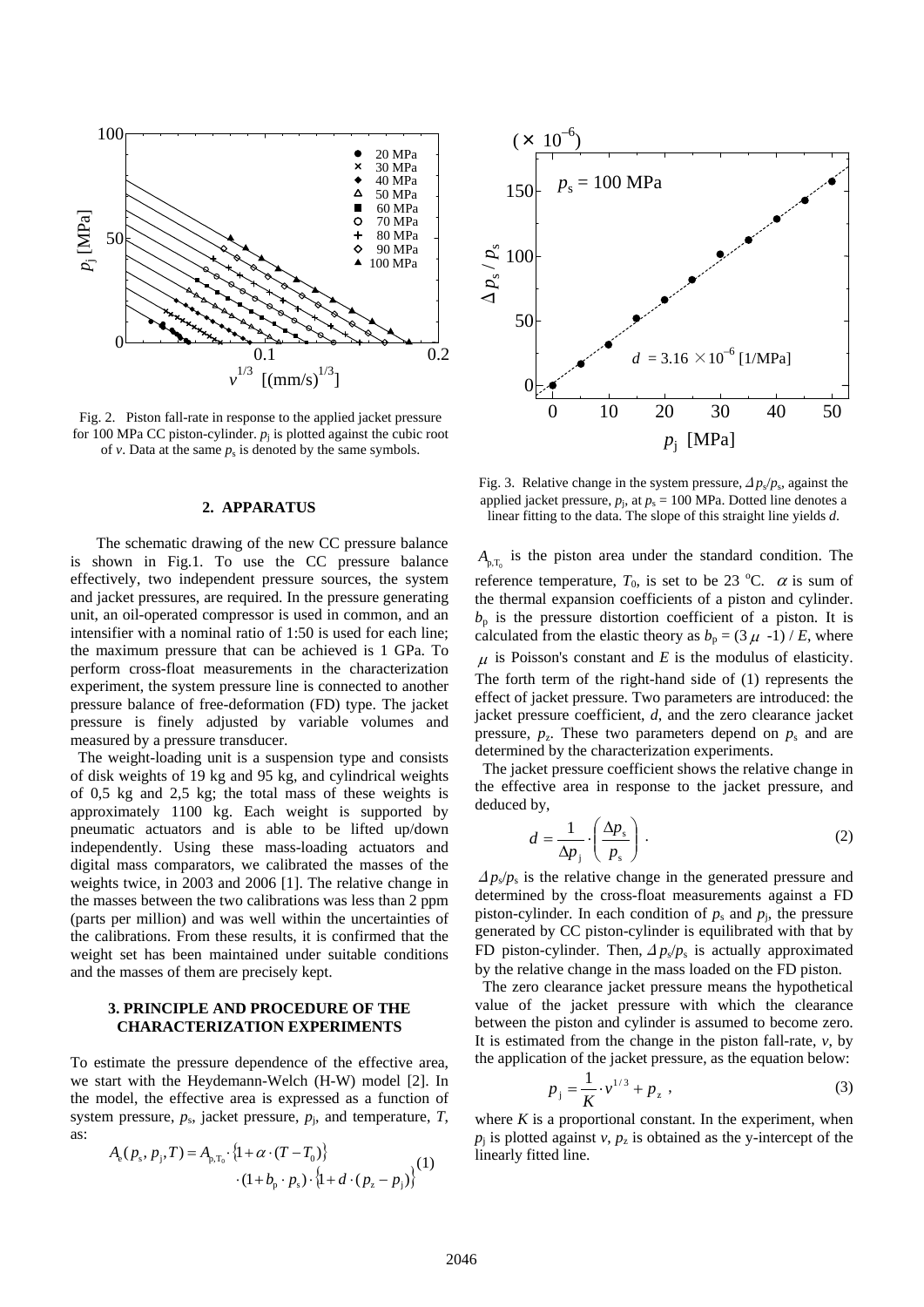

Fig. 2. Piston fall-rate in response to the applied jacket pressure for 100 MPa CC piston-cylinder.  $p_i$  is plotted against the cubic root of  $\nu$ . Data at the same  $p_s$  is denoted by the same symbols.

#### **2. APPARATUS**

 The schematic drawing of the new CC pressure balance is shown in Fig.1. To use the CC pressure balance effectively, two independent pressure sources, the system and jacket pressures, are required. In the pressure generating unit, an oil-operated compressor is used in common, and an intensifier with a nominal ratio of 1:50 is used for each line; the maximum pressure that can be achieved is 1 GPa. To perform cross-float measurements in the characterization experiment, the system pressure line is connected to another pressure balance of free-deformation (FD) type. The jacket pressure is finely adjusted by variable volumes and measured by a pressure transducer.

The weight-loading unit is a suspension type and consists of disk weights of 19 kg and 95 kg, and cylindrical weights of 0,5 kg and 2,5 kg; the total mass of these weights is approximately 1100 kg. Each weight is supported by pneumatic actuators and is able to be lifted up/down independently. Using these mass-loading actuators and digital mass comparators, we calibrated the masses of the weights twice, in 2003 and 2006 [1]. The relative change in the masses between the two calibrations was less than 2 ppm (parts per million) and was well within the uncertainties of the calibrations. From these results, it is confirmed that the weight set has been maintained under suitable conditions and the masses of them are precisely kept.

### **3. PRINCIPLE AND PROCEDURE OF THE CHARACTERIZATION EXPERIMENTS**

To estimate the pressure dependence of the effective area, we start with the Heydemann-Welch (H-W) model [2]. In the model, the effective area is expressed as a function of system pressure,  $p_s$ , jacket pressure,  $p_i$ , and temperature,  $T$ , as:

$$
A_{e}(p_{s}, p_{j}, T) = A_{p,T_{0}} \cdot \{1 + \alpha \cdot (T - T_{0})\}
$$
  
 
$$
\cdot (1 + b_{p} \cdot p_{s}) \cdot \{1 + d \cdot (p_{z} - p_{j})\}
$$
<sup>(1)</sup>



Fig. 3. Relative change in the system pressure,  $\Delta p_s/p_s$ , against the applied jacket pressure,  $p_j$ , at  $p_s = 100$  MPa. Dotted line denotes a linear fitting to the data. The slope of this straight line yields *d*.

 $A_{p,T_p}$  is the piston area under the standard condition. The reference temperature,  $T_0$ , is set to be 23 °C.  $\alpha$  is sum of the thermal expansion coefficients of a piston and cylinder.  $b<sub>p</sub>$  is the pressure distortion coefficient of a piston. It is calculated from the elastic theory as  $b_p = (3 \mu -1) / E$ , where  $\mu$  is Poisson's constant and *E* is the modulus of elasticity. The forth term of the right-hand side of (1) represents the effect of jacket pressure. Two parameters are introduced: the jacket pressure coefficient, *d*, and the zero clearance jacket pressure,  $p_z$ . These two parameters depend on  $p_s$  and are determined by the characterization experiments.

The jacket pressure coefficient shows the relative change in the effective area in response to the jacket pressure, and deduced by,

$$
d = \frac{1}{\Delta p_j} \cdot \left(\frac{\Delta p_s}{p_s}\right). \tag{2}
$$

 $\Delta p_s / p_s$  is the relative change in the generated pressure and determined by the cross-float measurements against a FD piston-cylinder. In each condition of  $p_s$  and  $p_i$ , the pressure generated by CC piston-cylinder is equilibrated with that by FD piston-cylinder. Then,  $\Delta p_s/p_s$  is actually approximated by the relative change in the mass loaded on the FD piston.

The zero clearance jacket pressure means the hypothetical value of the jacket pressure with which the clearance between the piston and cylinder is assumed to become zero. It is estimated from the change in the piston fall-rate, *v*, by the application of the jacket pressure, as the equation below:

$$
p_j = \frac{1}{K} \cdot v^{1/3} + p_z \tag{3}
$$

where  $K$  is a proportional constant. In the experiment, when  $p_i$  is plotted against  $v$ ,  $p_z$  is obtained as the y-intercept of the linearly fitted line.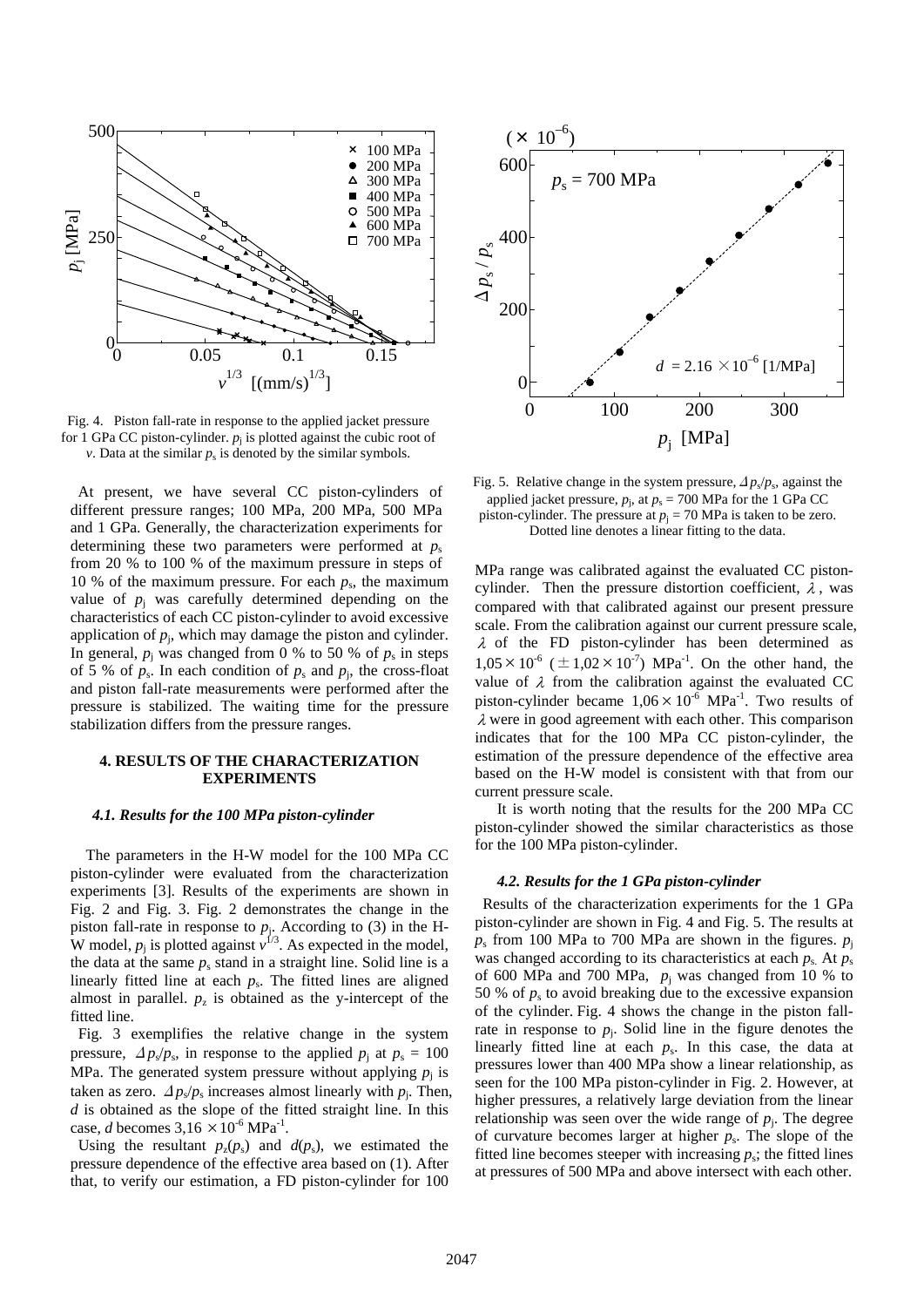

Fig. 4. Piston fall-rate in response to the applied jacket pressure for 1 GPa CC piston-cylinder.  $p_i$  is plotted against the cubic root of *v*. Data at the similar  $p_s$  is denoted by the similar symbols.

At present, we have several CC piston-cylinders of different pressure ranges; 100 MPa, 200 MPa, 500 MPa and 1 GPa. Generally, the characterization experiments for determining these two parameters were performed at  $p_s$ from 20 % to 100 % of the maximum pressure in steps of 10 % of the maximum pressure. For each  $p_s$ , the maximum value of  $p_i$  was carefully determined depending on the characteristics of each CC piston-cylinder to avoid excessive application of  $p_i$ , which may damage the piston and cylinder. In general,  $p_i$  was changed from 0 % to 50 % of  $p_s$  in steps of 5 % of  $p_s$ . In each condition of  $p_s$  and  $p_i$ , the cross-float and piston fall-rate measurements were performed after the pressure is stabilized. The waiting time for the pressure stabilization differs from the pressure ranges.

### **4. RESULTS OF THE CHARACTERIZATION EXPERIMENTS**

#### *4.1. Results for the 100 MPa piston-cylinder*

The parameters in the H-W model for the 100 MPa CC piston-cylinder were evaluated from the characterization experiments [3]. Results of the experiments are shown in Fig. 2 and Fig. 3. Fig. 2 demonstrates the change in the piston fall-rate in response to  $p_i$ . According to (3) in the H-W model,  $p_j$  is plotted against  $\hat{v}^{1/3}$ . As expected in the model, the data at the same  $p_s$  stand in a straight line. Solid line is a linearly fitted line at each  $p_s$ . The fitted lines are aligned almost in parallel.  $p_z$  is obtained as the y-intercept of the fitted line.

 Fig. 3 exemplifies the relative change in the system pressure,  $\Delta p_s/p_s$ , in response to the applied  $p_i$  at  $p_s = 100$ MPa. The generated system pressure without applying  $p_i$  is taken as zero.  $\Delta p_s / p_s$  increases almost linearly with  $p_i$ . Then, *d* is obtained as the slope of the fitted straight line. In this case, *d* becomes  $3.16 \times 10^{-6}$  MPa<sup>-1</sup>.

Using the resultant  $p_z(p_s)$  and  $d(p_s)$ , we estimated the pressure dependence of the effective area based on (1). After that, to verify our estimation, a FD piston-cylinder for 100



Fig. 5. Relative change in the system pressure,  $\Delta p_s/p_s$ , against the applied jacket pressure,  $p_i$ , at  $p_s = 700$  MPa for the 1 GPa CC piston-cylinder. The pressure at  $p_j = 70$  MPa is taken to be zero. Dotted line denotes a linear fitting to the data.

MPa range was calibrated against the evaluated CC pistoncylinder. Then the pressure distortion coefficient,  $\lambda$ , was compared with that calibrated against our present pressure scale. From the calibration against our current pressure scale, λ of the FD piston-cylinder has been determined as  $1,05 \times 10^{-6}$  ( $\pm 1,02 \times 10^{-7}$ ) MPa<sup>-1</sup>. On the other hand, the value of  $\lambda$  from the calibration against the evaluated CC piston-cylinder became  $1.06 \times 10^{-6}$  MPa<sup>-1</sup>. Two results of λ were in good agreement with each other. This comparison indicates that for the 100 MPa CC piston-cylinder, the estimation of the pressure dependence of the effective area based on the H-W model is consistent with that from our current pressure scale.

It is worth noting that the results for the 200 MPa CC piston-cylinder showed the similar characteristics as those for the 100 MPa piston-cylinder.

#### *4.2. Results for the 1 GPa piston-cylinder*

Results of the characterization experiments for the 1 GPa piston-cylinder are shown in Fig. 4 and Fig. 5. The results at  $p_s$  from 100 MPa to 700 MPa are shown in the figures.  $p_i$ was changed according to its characteristics at each  $p_s$ . At  $p_s$ of 600 MPa and 700 MPa,  $p_i$  was changed from 10 % to 50 % of  $p_s$  to avoid breaking due to the excessive expansion of the cylinder. Fig. 4 shows the change in the piston fallrate in response to  $p_i$ . Solid line in the figure denotes the linearly fitted line at each  $p_s$ . In this case, the data at pressures lower than 400 MPa show a linear relationship, as seen for the 100 MPa piston-cylinder in Fig. 2. However, at higher pressures, a relatively large deviation from the linear relationship was seen over the wide range of  $p_i$ . The degree of curvature becomes larger at higher  $p_s$ . The slope of the fitted line becomes steeper with increasing  $p_s$ ; the fitted lines at pressures of 500 MPa and above intersect with each other.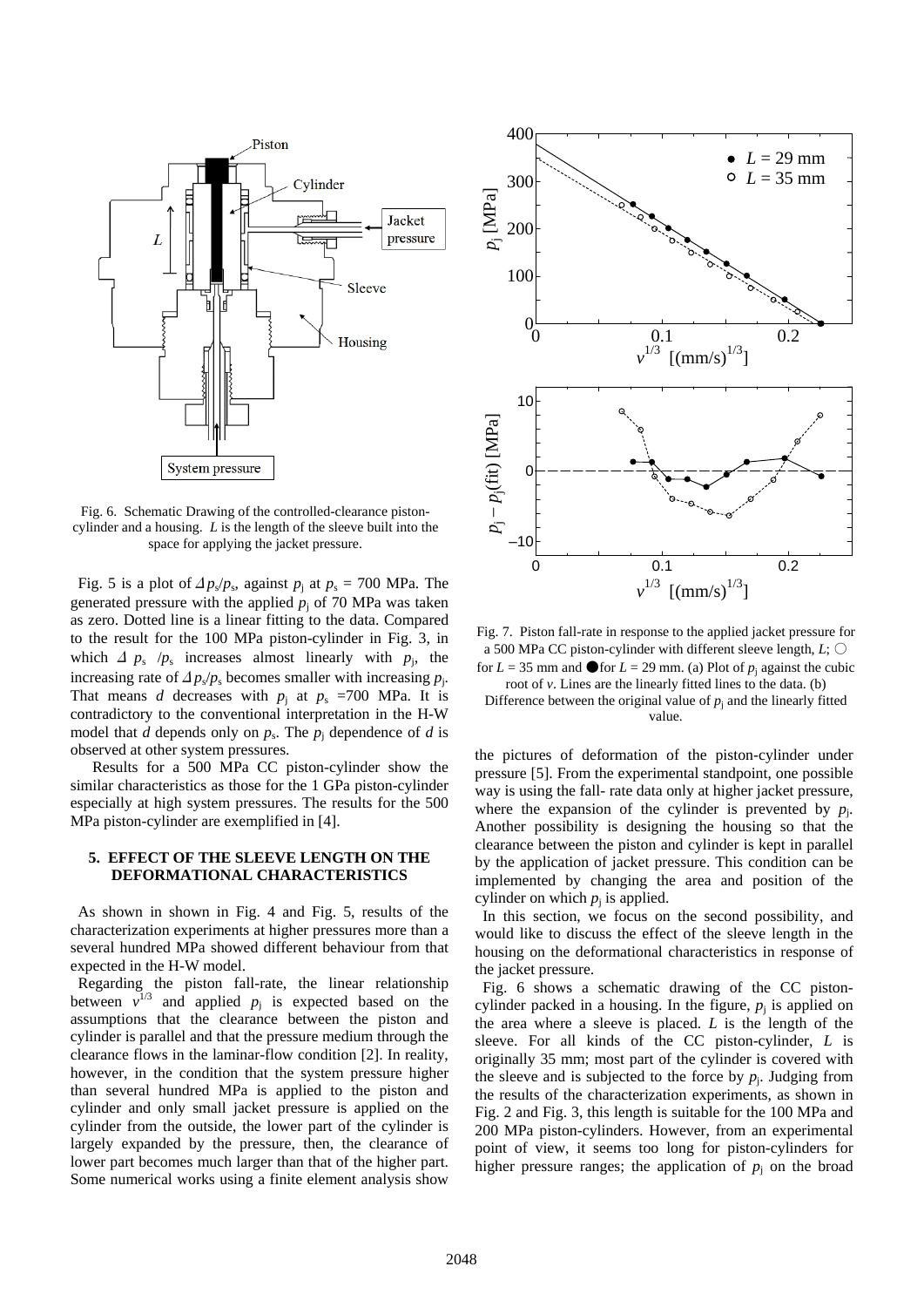

Fig. 6. Schematic Drawing of the controlled-clearance pistoncylinder and a housing. *L* is the length of the sleeve built into the space for applying the jacket pressure.

Fig. 5 is a plot of  $\Delta p_s/p_s$ , against  $p_j$  at  $p_s = 700$  MPa. The generated pressure with the applied  $p_j$  of 70 MPa was taken as zero. Dotted line is a linear fitting to the data. Compared to the result for the 100 MPa piston-cylinder in Fig. 3, in which  $\Delta p_s / p_s$  increases almost linearly with  $p_i$ , the increasing rate of  $\Delta p_s/p_s$  becomes smaller with increasing  $p_i$ . That means *d* decreases with  $p_i$  at  $p_s$  =700 MPa. It is contradictory to the conventional interpretation in the H-W model that *d* depends only on  $p_s$ . The  $p_i$  dependence of *d* is observed at other system pressures.

Results for a 500 MPa CC piston-cylinder show the similar characteristics as those for the 1 GPa piston-cylinder especially at high system pressures. The results for the 500 MPa piston-cylinder are exemplified in [4].

#### **5. EFFECT OF THE SLEEVE LENGTH ON THE DEFORMATIONAL CHARACTERISTICS**

As shown in shown in Fig. 4 and Fig. 5, results of the characterization experiments at higher pressures more than a several hundred MPa showed different behaviour from that expected in the H-W model.

Regarding the piston fall-rate, the linear relationship between  $v^{1/3}$  and applied  $p_j$  is expected based on the assumptions that the clearance between the piston and cylinder is parallel and that the pressure medium through the clearance flows in the laminar-flow condition [2]. In reality, however, in the condition that the system pressure higher than several hundred MPa is applied to the piston and cylinder and only small jacket pressure is applied on the cylinder from the outside, the lower part of the cylinder is largely expanded by the pressure, then, the clearance of lower part becomes much larger than that of the higher part. Some numerical works using a finite element analysis show



Fig. 7. Piston fall-rate in response to the applied jacket pressure for a 500 MPa CC piston-cylinder with different sleeve length, *L*; ○ for  $L = 35$  mm and  $\bullet$  for  $L = 29$  mm. (a) Plot of  $p_i$  against the cubic

root of *v*. Lines are the linearly fitted lines to the data. (b) Difference between the original value of  $p_i$  and the linearly fitted value.

the pictures of deformation of the piston-cylinder under pressure [5]. From the experimental standpoint, one possible way is using the fall- rate data only at higher jacket pressure, where the expansion of the cylinder is prevented by  $p_i$ . Another possibility is designing the housing so that the clearance between the piston and cylinder is kept in parallel by the application of jacket pressure. This condition can be implemented by changing the area and position of the cylinder on which  $p_i$  is applied.

In this section, we focus on the second possibility, and would like to discuss the effect of the sleeve length in the housing on the deformational characteristics in response of the jacket pressure.

Fig. 6 shows a schematic drawing of the CC pistoncylinder packed in a housing. In the figure,  $p_i$  is applied on the area where a sleeve is placed. *L* is the length of the sleeve. For all kinds of the CC piston-cylinder, *L* is originally 35 mm; most part of the cylinder is covered with the sleeve and is subjected to the force by  $p_i$ . Judging from the results of the characterization experiments, as shown in Fig. 2 and Fig. 3, this length is suitable for the 100 MPa and 200 MPa piston-cylinders. However, from an experimental point of view, it seems too long for piston-cylinders for higher pressure ranges; the application of  $p_i$  on the broad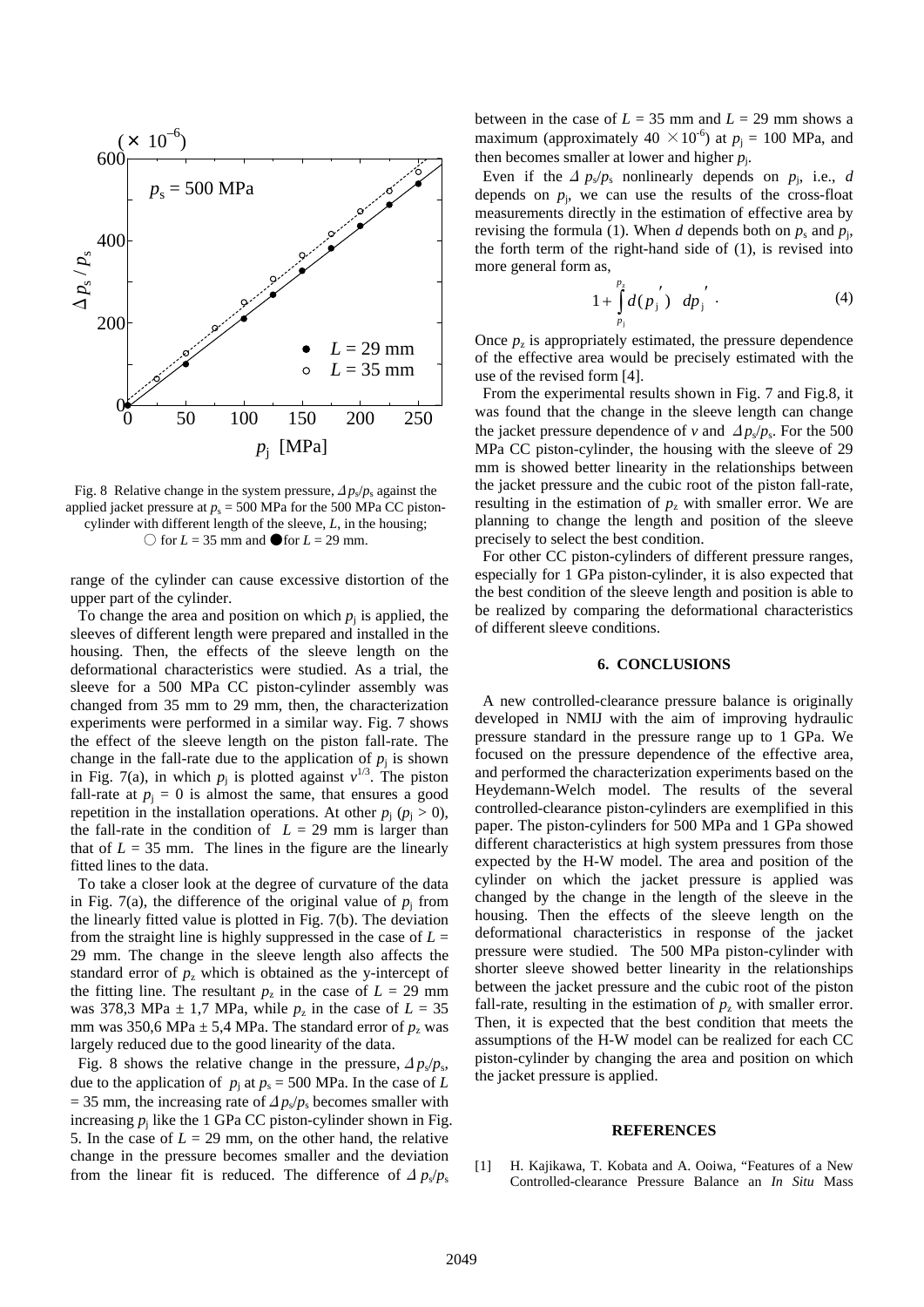

Fig. 8 Relative change in the system pressure,  $\Delta p_s/p_s$  against the applied jacket pressure at  $p_s = 500$  MPa for the 500 MPa CC pistoncylinder with different length of the sleeve, *L*, in the housing;  $\bigcirc$  for *L* = 35 mm and **O** for *L* = 29 mm.

range of the cylinder can cause excessive distortion of the upper part of the cylinder.

To change the area and position on which  $p_i$  is applied, the sleeves of different length were prepared and installed in the housing. Then, the effects of the sleeve length on the deformational characteristics were studied. As a trial, the sleeve for a 500 MPa CC piston-cylinder assembly was changed from 35 mm to 29 mm, then, the characterization experiments were performed in a similar way. Fig. 7 shows the effect of the sleeve length on the piston fall-rate. The change in the fall-rate due to the application of  $p_i$  is shown in Fig. 7(a), in which  $p_j$  is plotted against  $v^{1/3}$ . The piston fall-rate at  $p_i = 0$  is almost the same, that ensures a good repetition in the installation operations. At other  $p_i$  ( $p_i > 0$ ), the fall-rate in the condition of  $L = 29$  mm is larger than that of  $L = 35$  mm. The lines in the figure are the linearly fitted lines to the data.

To take a closer look at the degree of curvature of the data in Fig. 7(a), the difference of the original value of  $p_i$  from the linearly fitted value is plotted in Fig. 7(b). The deviation from the straight line is highly suppressed in the case of  $L =$ 29 mm. The change in the sleeve length also affects the standard error of  $p<sub>z</sub>$  which is obtained as the y-intercept of the fitting line. The resultant  $p_z$  in the case of  $L = 29$  mm was 378,3 MPa  $\pm$  1,7 MPa, while  $p_z$  in the case of  $L = 35$ mm was 350,6 MPa  $\pm$  5,4 MPa. The standard error of  $p_z$  was largely reduced due to the good linearity of the data.

Fig. 8 shows the relative change in the pressure,  $\Delta p_s/p_s$ , due to the application of  $p_i$  at  $p_s = 500$  MPa. In the case of *L*  $=$  35 mm, the increasing rate of  $\Delta p_s/p_s$  becomes smaller with increasing  $p_i$  like the 1 GPa CC piston-cylinder shown in Fig. 5. In the case of  $L = 29$  mm, on the other hand, the relative change in the pressure becomes smaller and the deviation from the linear fit is reduced. The difference of  $\Delta p_s/p_s$ 

between in the case of  $L = 35$  mm and  $L = 29$  mm shows a maximum (approximately  $40 \times 10^{-6}$ ) at  $p_i = 100$  MPa, and then becomes smaller at lower and higher *p*j.

Even if the  $\Delta p_s/p_s$  nonlinearly depends on  $p_i$ , i.e., *d* depends on  $p_i$ , we can use the results of the cross-float measurements directly in the estimation of effective area by revising the formula (1). When *d* depends both on  $p_s$  and  $p_i$ , the forth term of the right-hand side of (1), is revised into more general form as,

$$
1 + \int_{p_i}^{p_i} d(p_j') \, dp_j' \tag{4}
$$

Once  $p<sub>z</sub>$  is appropriately estimated, the pressure dependence of the effective area would be precisely estimated with the use of the revised form [4].

 From the experimental results shown in Fig. 7 and Fig.8, it was found that the change in the sleeve length can change the jacket pressure dependence of *v* and  $\Delta p_s/p_s$ . For the 500 MPa CC piston-cylinder, the housing with the sleeve of 29 mm is showed better linearity in the relationships between the jacket pressure and the cubic root of the piston fall-rate, resulting in the estimation of  $p<sub>z</sub>$  with smaller error. We are planning to change the length and position of the sleeve precisely to select the best condition.

 For other CC piston-cylinders of different pressure ranges, especially for 1 GPa piston-cylinder, it is also expected that the best condition of the sleeve length and position is able to be realized by comparing the deformational characteristics of different sleeve conditions.

#### **6. CONCLUSIONS**

A new controlled-clearance pressure balance is originally developed in NMIJ with the aim of improving hydraulic pressure standard in the pressure range up to 1 GPa. We focused on the pressure dependence of the effective area, and performed the characterization experiments based on the Heydemann-Welch model. The results of the several controlled-clearance piston-cylinders are exemplified in this paper. The piston-cylinders for 500 MPa and 1 GPa showed different characteristics at high system pressures from those expected by the H-W model. The area and position of the cylinder on which the jacket pressure is applied was changed by the change in the length of the sleeve in the housing. Then the effects of the sleeve length on the deformational characteristics in response of the jacket pressure were studied. The 500 MPa piston-cylinder with shorter sleeve showed better linearity in the relationships between the jacket pressure and the cubic root of the piston fall-rate, resulting in the estimation of  $p<sub>z</sub>$  with smaller error. Then, it is expected that the best condition that meets the assumptions of the H-W model can be realized for each CC piston-cylinder by changing the area and position on which the jacket pressure is applied.

#### **REFERENCES**

[1] H. Kajikawa, T. Kobata and A. Ooiwa, "Features of a New Controlled-clearance Pressure Balance an *In Situ* Mass